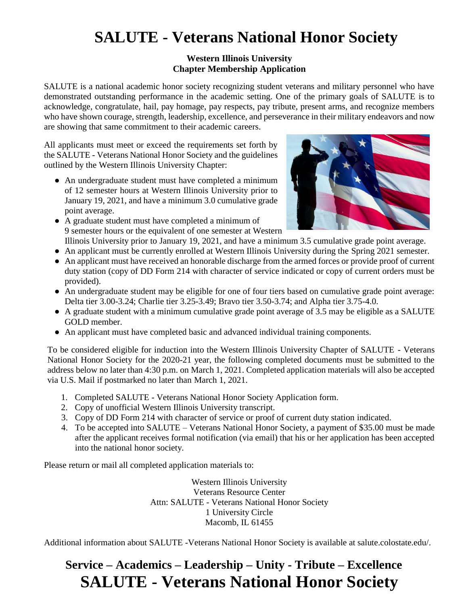# **SALUTE - Veterans National Honor Society**

### **Western Illinois University Chapter Membership Application**

SALUTE is a national academic honor society recognizing student veterans and military personnel who have demonstrated outstanding performance in the academic setting. One of the primary goals of SALUTE is to acknowledge, congratulate, hail, pay homage, pay respects, pay tribute, present arms, and recognize members who have shown courage, strength, leadership, excellence, and perseverance in their military endeavors and now are showing that same commitment to their academic careers.

All applicants must meet or exceed the requirements set forth by the SALUTE - Veterans National Honor Society and the guidelines outlined by the Western Illinois University Chapter:

● An undergraduate student must have completed a minimum of 12 semester hours at Western Illinois University prior to January 19, 2021, and have a minimum 3.0 cumulative grade point average.



- A graduate student must have completed a minimum of 9 semester hours or the equivalent of one semester at Western Illinois University prior to January 19, 2021, and have a minimum 3.5 cumulative grade point average.
- An applicant must be currently enrolled at Western Illinois University during the Spring 2021 semester.
- An applicant must have received an honorable discharge from the armed forces or provide proof of current duty station (copy of DD Form 214 with character of service indicated or copy of current orders must be provided).
- An undergraduate student may be eligible for one of four tiers based on cumulative grade point average: Delta tier 3.00-3.24; Charlie tier 3.25-3.49; Bravo tier 3.50-3.74; and Alpha tier 3.75-4.0.
- A graduate student with a minimum cumulative grade point average of 3.5 may be eligible as a SALUTE GOLD member.
- An applicant must have completed basic and advanced individual training components.

To be considered eligible for induction into the Western Illinois University Chapter of SALUTE - Veterans National Honor Society for the 2020-21 year, the following completed documents must be submitted to the address below no later than 4:30 p.m. on March 1, 2021. Completed application materials will also be accepted via U.S. Mail if postmarked no later than March 1, 2021.

- 1. Completed SALUTE Veterans National Honor Society Application form.
- 2. Copy of unofficial Western Illinois University transcript.
- 3. Copy of DD Form 214 with character of service or proof of current duty station indicated.
- 4. To be accepted into SALUTE Veterans National Honor Society, a payment of \$35.00 must be made after the applicant receives formal notification (via email) that his or her application has been accepted into the national honor society.

Please return or mail all completed application materials to:

Western Illinois University Veterans Resource Center Attn: SALUTE - Veterans National Honor Society 1 University Circle Macomb, IL 61455

Additional information about SALUTE -Veterans National Honor Society is available at salute.colostate.edu/.

## **Service – Academics – Leadership – Unity - Tribute – Excellence SALUTE - Veterans National Honor Society**